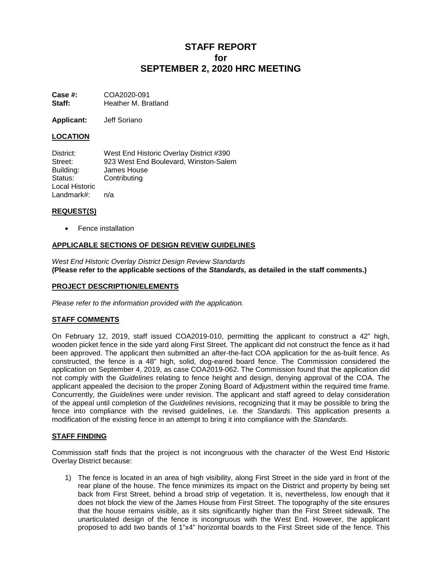# **STAFF REPORT for SEPTEMBER 2, 2020 HRC MEETING**

**Case #: COA2020-091**<br>**Staff: Heather M. Bra Staff:** Heather M. Bratland

**Applicant:** Jeff Soriano

## **LOCATION**

| District:      | West End Historic Overlay District #390 |
|----------------|-----------------------------------------|
| Street:        | 923 West End Boulevard, Winston-Salem   |
| Building:      | James House                             |
| Status:        | Contributing                            |
| Local Historic |                                         |
| Landmark#:     | n/a                                     |

### **REQUEST(S)**

• Fence installation

## **APPLICABLE SECTIONS OF DESIGN REVIEW GUIDELINES**

*West End Historic Overlay District Design Review Standards* **(Please refer to the applicable sections of the** *Standards,* **as detailed in the staff comments.)**

#### **PROJECT DESCRIPTION/ELEMENTS**

*Please refer to the information provided with the application.*

## **STAFF COMMENTS**

On February 12, 2019, staff issued COA2019-010, permitting the applicant to construct a 42" high, wooden picket fence in the side yard along First Street. The applicant did not construct the fence as it had been approved. The applicant then submitted an after-the-fact COA application for the as-built fence. As constructed, the fence is a 48" high, solid, dog-eared board fence. The Commission considered the application on September 4, 2019, as case COA2019-062. The Commission found that the application did not comply with the *Guidelines* relating to fence height and design, denying approval of the COA. The applicant appealed the decision to the proper Zoning Board of Adjustment within the required time frame. Concurrently, the *Guidelines* were under revision. The applicant and staff agreed to delay consideration of the appeal until completion of the *Guidelines* revisions, recognizing that it may be possible to bring the fence into compliance with the revised guidelines, i.e. the *Standards*. This application presents a modification of the existing fence in an attempt to bring it into compliance with the *Standards*.

#### **STAFF FINDING**

Commission staff finds that the project is not incongruous with the character of the West End Historic Overlay District because:

1) The fence is located in an area of high visibility, along First Street in the side yard in front of the rear plane of the house. The fence minimizes its impact on the District and property by being set back from First Street, behind a broad strip of vegetation. It is, nevertheless, low enough that it does not block the view of the James House from First Street. The topography of the site ensures that the house remains visible, as it sits significantly higher than the First Street sidewalk. The unarticulated design of the fence is incongruous with the West End. However, the applicant proposed to add two bands of 1"x4" horizontal boards to the First Street side of the fence. This